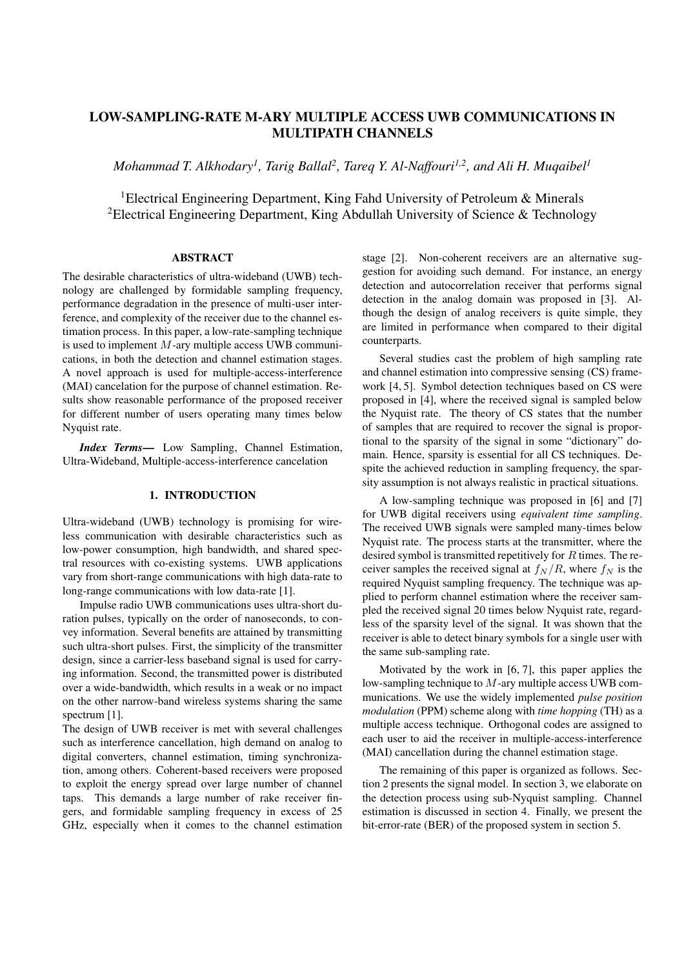# **LOW-SAMPLING-RATE M-ARY MULTIPLE ACCESS UWB COMMUNICATIONS IN MULTIPATH CHANNELS**

*Mohammad T. Alkhodary<sup>1</sup>, Tarig Ballal<sup>2</sup>, Tareq Y. Al-Naffouri<sup>1,2</sup>, and Ali H. Muqaibel<sup>1</sup>* 

1Electrical Engineering Department, King Fahd University of Petroleum & Minerals 2Electrical Engineering Department, King Abdullah University of Science & Technology

## **ABSTRACT**

The desirable characteristics of ultra-wideband (UWB) technology are challenged by formidable sampling frequency, performance degradation in the presence of multi-user interference, and complexity of the receiver due to the channel estimation process. In this paper, a low-rate-sampling technique is used to implement  $M$ -ary multiple access UWB communications, in both the detection and channel estimation stages. A novel approach is used for multiple-access-interference (MAI) cancelation for the purpose of channel estimation. Results show reasonable performance of the proposed receiver for different number of users operating many times below Nyquist rate.

*Index Terms***—** Low Sampling, Channel Estimation, Ultra-Wideband, Multiple-access-interference cancelation

## **1. INTRODUCTION**

Ultra-wideband (UWB) technology is promising for wireless communication with desirable characteristics such as low-power consumption, high bandwidth, and shared spectral resources with co-existing systems. UWB applications vary from short-range communications with high data-rate to long-range communications with low data-rate [1].

Impulse radio UWB communications uses ultra-short duration pulses, typically on the order of nanoseconds, to convey information. Several benefits are attained by transmitting such ultra-short pulses. First, the simplicity of the transmitter design, since a carrier-less baseband signal is used for carrying information. Second, the transmitted power is distributed over a wide-bandwidth, which results in a weak or no impact on the other narrow-band wireless systems sharing the same spectrum [1].

The design of UWB receiver is met with several challenges such as interference cancellation, high demand on analog to digital converters, channel estimation, timing synchronization, among others. Coherent-based receivers were proposed to exploit the energy spread over large number of channel taps. This demands a large number of rake receiver fingers, and formidable sampling frequency in excess of 25 GHz, especially when it comes to the channel estimation stage [2]. Non-coherent receivers are an alternative suggestion for avoiding such demand. For instance, an energy detection and autocorrelation receiver that performs signal detection in the analog domain was proposed in [3]. Although the design of analog receivers is quite simple, they are limited in performance when compared to their digital counterparts.

Several studies cast the problem of high sampling rate and channel estimation into compressive sensing (CS) framework [4, 5]. Symbol detection techniques based on CS were proposed in [4], where the received signal is sampled below the Nyquist rate. The theory of CS states that the number of samples that are required to recover the signal is proportional to the sparsity of the signal in some "dictionary" domain. Hence, sparsity is essential for all CS techniques. Despite the achieved reduction in sampling frequency, the sparsity assumption is not always realistic in practical situations.

A low-sampling technique was proposed in [6] and [7] for UWB digital receivers using *equivalent time sampling*. The received UWB signals were sampled many-times below Nyquist rate. The process starts at the transmitter, where the desired symbol is transmitted repetitively for  $R$  times. The receiver samples the received signal at  $f_N/R$ , where  $f_N$  is the required Nyquist sampling frequency. The technique was applied to perform channel estimation where the receiver sampled the received signal 20 times below Nyquist rate, regardless of the sparsity level of the signal. It was shown that the receiver is able to detect binary symbols for a single user with the same sub-sampling rate.

Motivated by the work in [6, 7], this paper applies the low-sampling technique to M-ary multiple access UWB communications. We use the widely implemented *pulse position modulation* (PPM) scheme along with *time hopping* (TH) as a multiple access technique. Orthogonal codes are assigned to each user to aid the receiver in multiple-access-interference (MAI) cancellation during the channel estimation stage.

The remaining of this paper is organized as follows. Section 2 presents the signal model. In section 3, we elaborate on the detection process using sub-Nyquist sampling. Channel estimation is discussed in section 4. Finally, we present the bit-error-rate (BER) of the proposed system in section 5.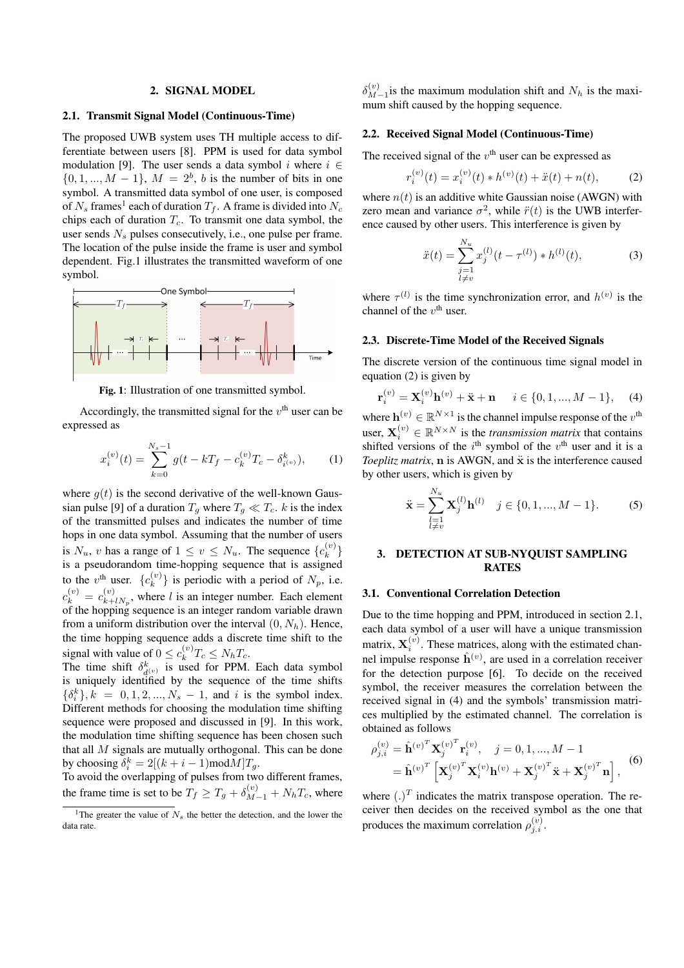#### **2. SIGNAL MODEL**

#### **2.1. Transmit Signal Model (Continuous-Time)**

The proposed UWB system uses TH multiple access to differentiate between users [8]. PPM is used for data symbol modulation [9]. The user sends a data symbol i where  $i \in$  $\{0, 1, ..., M - 1\}, M = 2^b, b$  is the number of bits in one symbol. A transmitted data symbol of one user, is composed of  $N_s$  frames<sup>1</sup> each of duration  $T_f$ . A frame is divided into  $N_c$ chips each of duration  $T_c$ . To transmit one data symbol, the user sends  $N_s$  pulses consecutively, i.e., one pulse per frame. The location of the pulse inside the frame is user and symbol dependent. Fig.1 illustrates the transmitted waveform of one symbol.



**Fig. 1**: Illustration of one transmitted symbol.

Accordingly, the transmitted signal for the  $v<sup>th</sup>$  user can be expressed as

$$
x_i^{(v)}(t) = \sum_{k=0}^{N_s - 1} g(t - kT_f - c_k^{(v)}T_c - \delta_{i^{(v)}}^k), \qquad (1)
$$

where  $q(t)$  is the second derivative of the well-known Gaussian pulse [9] of a duration  $T_g$  where  $T_g \ll T_c$ . k is the index of the transmitted pulses and indicates the number of time hops in one data symbol. Assuming that the number of users is  $N_u$ , v has a range of  $1 \le v \le N_u$ . The sequence  $\{c_k^{(v)}\}$ is a pseudorandom time-hopping sequence that is assigned to the  $v^{\text{th}}$  user.  $\{c_k^{(v)}\}$  is periodic with a period of  $N_p$ , i.e.  $c_k^{(v)} = c_{k+lN_p}^{(v)}$ , where l is an integer number. Each element of the hopping sequence is an integer random variable drawn from a uniform distribution over the interval  $(0, N_h)$ . Hence, the time hopping sequence adds a discrete time shift to the signal with value of  $0 \leq c_k^{(v)} T_c \leq N_h T_c$ .

The time shift  $\delta_{d^{(v)}}^k$  is used for PPM. Each data symbol is uniquely identified by the sequence of the time shifts  $\{\delta_i^k\}, k = 0, 1, 2, ..., N_s - 1$ , and *i* is the symbol index. Different methods for choosing the modulation time shifting sequence were proposed and discussed in [9]. In this work, the modulation time shifting sequence has been chosen such that all M signals are mutually orthogonal. This can be done by choosing  $\delta_i^k = 2[(k+i-1) \text{mod} M]T_g$ .

To avoid the overlapping of pulses from two different frames, the frame time is set to be  $T_f \geq T_g + \delta_{M-1}^{(v)} + N_h T_c$ , where

 $\delta_{M-1}^{(v)}$  is the maximum modulation shift and  $N_h$  is the maximum shift caused by the hopping sequence.

### **2.2. Received Signal Model (Continuous-Time)**

The received signal of the  $v<sup>th</sup>$  user can be expressed as

$$
r_i^{(v)}(t) = x_i^{(v)}(t) * h^{(v)}(t) + \ddot{x}(t) + n(t),
$$
 (2)

where  $n(t)$  is an additive white Gaussian noise (AWGN) with zero mean and variance  $\sigma^2$ , while  $\ddot{r}(t)$  is the UWB interference caused by other users. This interference is given by

$$
\ddot{x}(t) = \sum_{\substack{j=1\\l \neq v}}^{N_u} x_j^{(l)}(t - \tau^{(l)}) * h^{(l)}(t),\tag{3}
$$

where  $\tau^{(l)}$  is the time synchronization error, and  $h^{(v)}$  is the channel of the  $v^{\text{th}}$  user.

## **2.3. Discrete-Time Model of the Received Signals**

The discrete version of the continuous time signal model in equation (2) is given by

$$
\mathbf{r}_{i}^{(v)} = \mathbf{X}_{i}^{(v)} \mathbf{h}^{(v)} + \ddot{\mathbf{x}} + \mathbf{n} \quad i \in \{0, 1, ..., M - 1\}, \quad (4)
$$

where  $\mathbf{h}^{(v)} \in \mathbb{R}^{N \times 1}$  is the channel impulse response of the  $v^{\text{th}}$ user,  $\mathbf{X}_i^{(v)} \in \mathbb{R}^{N \times N}$  is the *transmission matrix* that contains shifted versions of the  $i<sup>th</sup>$  symbol of the  $v<sup>th</sup>$  user and it is a *Toeplitz matrix*,  $\bf{n}$  is AWGN, and  $\ddot{\bf{x}}$  is the interference caused by other users, which is given by

$$
\ddot{\mathbf{x}} = \sum_{\substack{l=1\\l \neq v}}^{N_u} \mathbf{X}_j^{(l)} \mathbf{h}^{(l)} \quad j \in \{0, 1, ..., M - 1\}.
$$
 (5)

## **3. DETECTION AT SUB-NYQUIST SAMPLING RATES**

#### **3.1. Conventional Correlation Detection**

Due to the time hopping and PPM, introduced in section 2.1, each data symbol of a user will have a unique transmission matrix,  $X_i^{(v)}$ . These matrices, along with the estimated channel impulse response  $\hat{h}^{(v)}$ , are used in a correlation receiver for the detection purpose [6]. To decide on the received symbol, the receiver measures the correlation between the received signal in (4) and the symbols' transmission matrices multiplied by the estimated channel. The correlation is obtained as follows

$$
\rho_{j,i}^{(v)} = \hat{\mathbf{h}}^{(v)^T} \mathbf{X}_j^{(v)^T} \mathbf{r}_i^{(v)}, \quad j = 0, 1, ..., M - 1
$$
  
=  $\hat{\mathbf{h}}^{(v)^T} \left[ \mathbf{X}_j^{(v)^T} \mathbf{X}_i^{(v)} \mathbf{h}^{(v)} + \mathbf{X}_j^{(v)^T} \ddot{\mathbf{x}} + \mathbf{X}_j^{(v)^T} \mathbf{n} \right],$  (6)

where  $(.)^T$  indicates the matrix transpose operation. The receiver then decides on the received symbol as the one that produces the maximum correlation  $\rho_{j.i}^{(v)}$ .

<sup>&</sup>lt;sup>1</sup>The greater the value of  $N_s$  the better the detection, and the lower the data rate.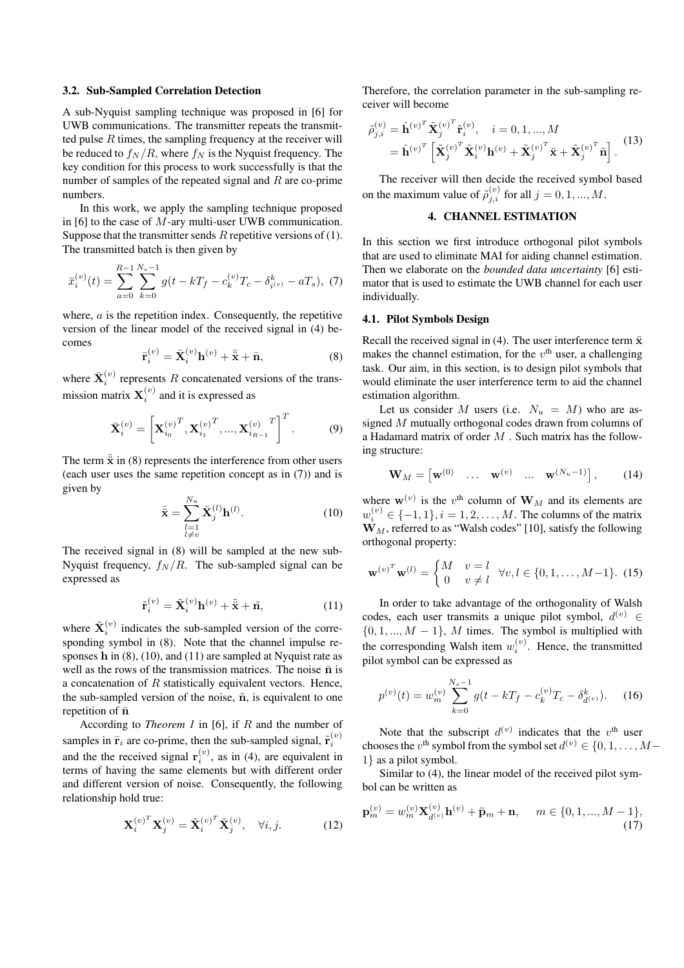#### **3.2. Sub-Sampled Correlation Detection**

A sub-Nyquist sampling technique was proposed in [6] for UWB communications. The transmitter repeats the transmitted pulse  $R$  times, the sampling frequency at the receiver will be reduced to  $f_N/R$ , where  $f_N$  is the Nyquist frequency. The key condition for this process to work successfully is that the number of samples of the repeated signal and  $R$  are co-prime numbers.

In this work, we apply the sampling technique proposed in [6] to the case of M-ary multi-user UWB communication. Suppose that the transmitter sends  $R$  repetitive versions of (1). The transmitted batch is then given by

$$
\bar{x}_i^{(v)}(t) = \sum_{a=0}^{R-1} \sum_{k=0}^{N_s-1} g(t - kT_f - c_k^{(v)}T_c - \delta_{i^{(v)}}^k - aT_s), \tag{7}
$$

where,  $a$  is the repetition index. Consequently, the repetitive version of the linear model of the received signal in (4) becomes

$$
\bar{\mathbf{r}}_i^{(v)} = \bar{\mathbf{X}}_i^{(v)} \mathbf{h}^{(v)} + \bar{\ddot{\mathbf{x}}} + \bar{\mathbf{n}},\tag{8}
$$

where  $\bar{\mathbf{X}}_i^{(v)}$  represents R concatenated versions of the transmission matrix  $\mathbf{X}_i^{(v)}$  and it is expressed as

$$
\bar{\mathbf{X}}_i^{(v)} = \left[ \mathbf{X}_{i_0}^{(v)^T}, \mathbf{X}_{i_1}^{(v)^T}, ..., \mathbf{X}_{i_{R-1}}^{(v)^T} \right]^T.
$$
 (9)

The term  $\bar{\mathbf{x}}$  in (8) represents the interference from other users (each user uses the same repetition concept as in (7)) and is given by

$$
\bar{\mathbf{x}} = \sum_{\substack{l=1\\l \neq v}}^{N_u} \bar{\mathbf{X}}_j^{(l)} \mathbf{h}^{(l)}.
$$
 (10)

The received signal in (8) will be sampled at the new sub-Nyquist frequency,  $f_N/R$ . The sub-sampled signal can be expressed as

$$
\tilde{\mathbf{r}}_i^{(v)} = \tilde{\mathbf{X}}_i^{(v)} \mathbf{h}^{(v)} + \tilde{\mathbf{x}} + \tilde{\mathbf{n}},\tag{11}
$$

where  $\tilde{\mathbf{X}}_i^{(v)}$  indicates the sub-sampled version of the corresponding symbol in (8). Note that the channel impulse responses h in  $(8)$ ,  $(10)$ , and  $(11)$  are sampled at Nyquist rate as well as the rows of the transmission matrices. The noise  $\bar{n}$  is a concatenation of  $R$  statistically equivalent vectors. Hence, the sub-sampled version of the noise,  $\tilde{n}$ , is equivalent to one repetition of  $\bar{n}$ 

According to *Theorem 1* in [6], if R and the number of samples in  $\bar{\mathbf{r}}_i$  are co-prime, then the sub-sampled signal,  $\tilde{\mathbf{r}}_i^{(v)}$ and the the received signal  $r_i^{(v)}$ , as in (4), are equivalent in terms of having the same elements but with different order and different version of noise. Consequently, the following relationship hold true:

$$
\mathbf{X}_{i}^{(v)^{T}} \mathbf{X}_{j}^{(v)} = \tilde{\mathbf{X}}_{i}^{(v)^{T}} \tilde{\mathbf{X}}_{j}^{(v)}, \quad \forall i, j.
$$
 (12)

Therefore, the correlation parameter in the sub-sampling receiver will become

$$
\tilde{\rho}_{j,i}^{(v)} = \hat{\mathbf{h}}^{(v)^T} \tilde{\mathbf{X}}_j^{(v)^T} \tilde{\mathbf{r}}_i^{(v)}, \quad i = 0, 1, ..., M
$$

$$
= \hat{\mathbf{h}}^{(v)^T} \left[ \tilde{\mathbf{X}}_j^{(v)^T} \tilde{\mathbf{X}}_i^{(v)} \mathbf{h}^{(v)} + \tilde{\mathbf{X}}_j^{(v)^T} \ddot{\mathbf{x}} + \tilde{\mathbf{X}}_j^{(v)^T} \tilde{\mathbf{n}} \right].
$$
(13)

The receiver will then decide the received symbol based on the maximum value of  $\tilde{\rho}_{j,i}^{(v)}$  for all  $j = 0, 1, ..., M$ .

## **4. CHANNEL ESTIMATION**

In this section we first introduce orthogonal pilot symbols that are used to eliminate MAI for aiding channel estimation. Then we elaborate on the *bounded data uncertainty* [6] estimator that is used to estimate the UWB channel for each user individually.

## **4.1. Pilot Symbols Design**

Recall the received signal in  $(4)$ . The user interference term  $\ddot{x}$ makes the channel estimation, for the  $v<sup>th</sup>$  user, a challenging task. Our aim, in this section, is to design pilot symbols that would eliminate the user interference term to aid the channel estimation algorithm.

Let us consider M users (i.e.  $N_u = M$ ) who are assigned M mutually orthogonal codes drawn from columns of a Hadamard matrix of order  $M$ . Such matrix has the following structure:

$$
\mathbf{W}_M = \begin{bmatrix} \mathbf{w}^{(0)} & \dots & \mathbf{w}^{(v)} & \dots & \mathbf{w}^{(N_u - 1)} \end{bmatrix}, \qquad (14)
$$

where  $\mathbf{w}^{(v)}$  is the  $v^{\text{th}}$  column of  $\mathbf{W}_M$  and its elements are  $w_i^{(v)} \in \{-1, 1\}, i = 1, 2, ..., M$ . The columns of the matrix  $\mathbf{W}_M$ , referred to as "Walsh codes" [10], satisfy the following orthogonal property:

$$
\mathbf{w}^{(v)^T}\mathbf{w}^{(l)} = \begin{cases} M & v = l \\ 0 & v \neq l \end{cases} \forall v, l \in \{0, 1, ..., M-1\}. \tag{15}
$$

In order to take advantage of the orthogonality of Walsh codes, each user transmits a unique pilot symbol,  $d^{(v)} \in$  $\{0, 1, ..., M - 1\}$ , M times. The symbol is multiplied with the corresponding Walsh item  $w_i^{(v)}$ . Hence, the transmitted pilot symbol can be expressed as

$$
p^{(v)}(t) = w_m^{(v)} \sum_{k=0}^{N_s - 1} g(t - kT_f - c_k^{(v)}T_c - \delta_{d^{(v)}}^k). \tag{16}
$$

Note that the subscript  $d^{(v)}$  indicates that the  $v^{\text{th}}$  user chooses the v<sup>th</sup> symbol from the symbol set  $d^{(v)} \in \{0, 1, \ldots, M - \}$ 1} as a pilot symbol.

Similar to (4), the linear model of the received pilot symbol can be written as

$$
\mathbf{p}_{m}^{(v)} = w_{m}^{(v)} \mathbf{X}_{d^{(v)}}^{(v)} \mathbf{h}^{(v)} + \ddot{\mathbf{p}}_{m} + \mathbf{n}, \quad m \in \{0, 1, ..., M - 1\},\tag{17}
$$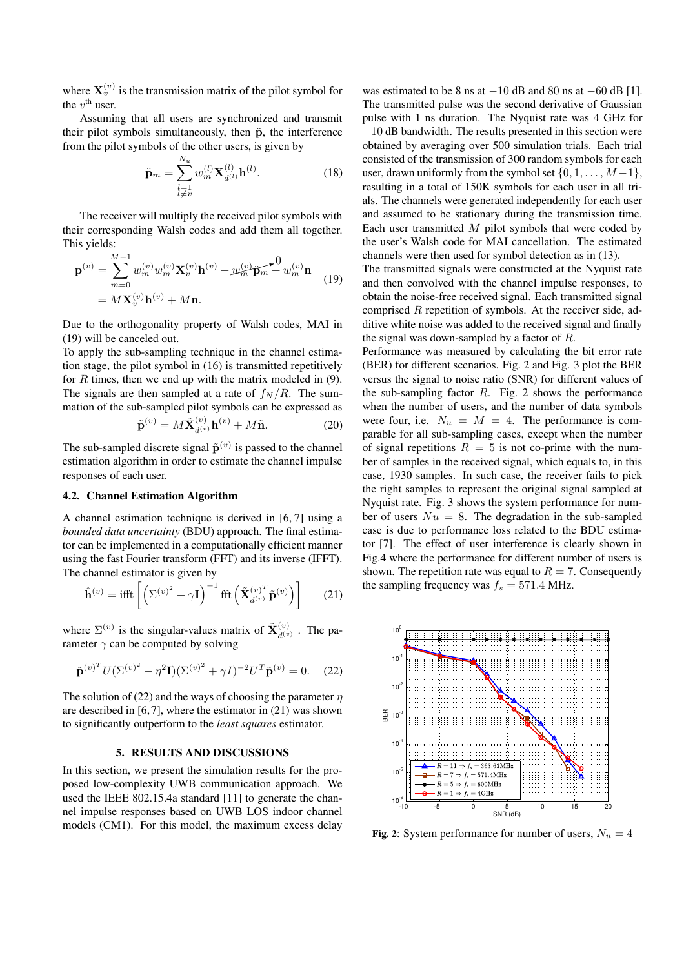where  $X_{\nu}^{(v)}$  is the transmission matrix of the pilot symbol for the  $v^{\text{th}}$  user.

Assuming that all users are synchronized and transmit their pilot symbols simultaneously, then  $\ddot{p}$ , the interference from the pilot symbols of the other users, is given by

$$
\ddot{\mathbf{p}}_{m} = \sum_{\substack{l=1\\l \neq v}}^{N_u} w_m^{(l)} \mathbf{X}_{d^{(l)}}^{(l)} \mathbf{h}^{(l)}.
$$
 (18)

The receiver will multiply the received pilot symbols with their corresponding Walsh codes and add them all together. This yields:

$$
\mathbf{p}^{(v)} = \sum_{m=0}^{M-1} w_m^{(v)} w_m^{(v)} \mathbf{X}_v^{(v)} \mathbf{h}^{(v)} + w_m^{(v)} \mathbf{p}_m + w_m^{(v)} \mathbf{n}
$$
  
=  $M \mathbf{X}_v^{(v)} \mathbf{h}^{(v)} + M \mathbf{n}.$  (19)

Due to the orthogonality property of Walsh codes, MAI in (19) will be canceled out.

To apply the sub-sampling technique in the channel estimation stage, the pilot symbol in (16) is transmitted repetitively for  $R$  times, then we end up with the matrix modeled in  $(9)$ . The signals are then sampled at a rate of  $f_N/R$ . The summation of the sub-sampled pilot symbols can be expressed as

$$
\tilde{\mathbf{p}}^{(v)} = M\tilde{\mathbf{X}}_{d^{(v)}}^{(v)}\mathbf{h}^{(v)} + M\tilde{\mathbf{n}}.\tag{20}
$$

The sub-sampled discrete signal  $\tilde{\mathbf{p}}^{(v)}$  is passed to the channel estimation algorithm in order to estimate the channel impulse responses of each user.

## **4.2. Channel Estimation Algorithm**

A channel estimation technique is derived in [6, 7] using a *bounded data uncertainty* (BDU) approach. The final estimator can be implemented in a computationally efficient manner using the fast Fourier transform (FFT) and its inverse (IFFT). The channel estimator is given by

$$
\hat{\mathbf{h}}^{(v)} = \text{ifft}\left[ \left( \Sigma^{(v)^2} + \gamma \mathbf{I} \right)^{-1} \text{fft}\left( \tilde{\mathbf{X}}_{d^{(v)}}^{(v)^T} \tilde{\mathbf{p}}^{(v)} \right) \right] \tag{21}
$$

where  $\Sigma^{(v)}$  is the singular-values matrix of  $\tilde{\mathbf{X}}_{d^{(v)}}^{(v)}$ . The parameter  $\gamma$  can be computed by solving

$$
\tilde{\mathbf{p}}^{(v)^{T}} U (\Sigma^{(v)^{2}} - \eta^{2} \mathbf{I}) (\Sigma^{(v)^{2}} + \gamma I)^{-2} U^{T} \tilde{\mathbf{p}}^{(v)} = 0. \quad (22)
$$

The solution of (22) and the ways of choosing the parameter  $\eta$ are described in [6,7], where the estimator in (21) was shown to significantly outperform to the *least squares* estimator.

#### **5. RESULTS AND DISCUSSIONS**

In this section, we present the simulation results for the proposed low-complexity UWB communication approach. We used the IEEE 802.15.4a standard [11] to generate the channel impulse responses based on UWB LOS indoor channel models (CM1). For this model, the maximum excess delay was estimated to be 8 ns at  $-10$  dB and 80 ns at  $-60$  dB [1]. The transmitted pulse was the second derivative of Gaussian pulse with 1 ns duration. The Nyquist rate was 4 GHz for −10 dB bandwidth. The results presented in this section were obtained by averaging over 500 simulation trials. Each trial consisted of the transmission of 300 random symbols for each user, drawn uniformly from the symbol set  $\{0, 1, \ldots, M-1\}$ , resulting in a total of 150K symbols for each user in all trials. The channels were generated independently for each user and assumed to be stationary during the transmission time. Each user transmitted  $M$  pilot symbols that were coded by the user's Walsh code for MAI cancellation. The estimated channels were then used for symbol detection as in (13).

The transmitted signals were constructed at the Nyquist rate and then convolved with the channel impulse responses, to obtain the noise-free received signal. Each transmitted signal comprised  $R$  repetition of symbols. At the receiver side, additive white noise was added to the received signal and finally the signal was down-sampled by a factor of  $R$ .

Performance was measured by calculating the bit error rate (BER) for different scenarios. Fig. 2 and Fig. 3 plot the BER versus the signal to noise ratio (SNR) for different values of the sub-sampling factor  $R$ . Fig. 2 shows the performance when the number of users, and the number of data symbols were four, i.e.  $N_u = M = 4$ . The performance is comparable for all sub-sampling cases, except when the number of signal repetitions  $R = 5$  is not co-prime with the number of samples in the received signal, which equals to, in this case, 1930 samples. In such case, the receiver fails to pick the right samples to represent the original signal sampled at Nyquist rate. Fig. 3 shows the system performance for number of users  $Nu = 8$ . The degradation in the sub-sampled case is due to performance loss related to the BDU estimator [7]. The effect of user interference is clearly shown in Fig.4 where the performance for different number of users is shown. The repetition rate was equal to  $R = 7$ . Consequently the sampling frequency was  $f_s = 571.4$  MHz.



**Fig. 2**: System performance for number of users,  $N_u = 4$